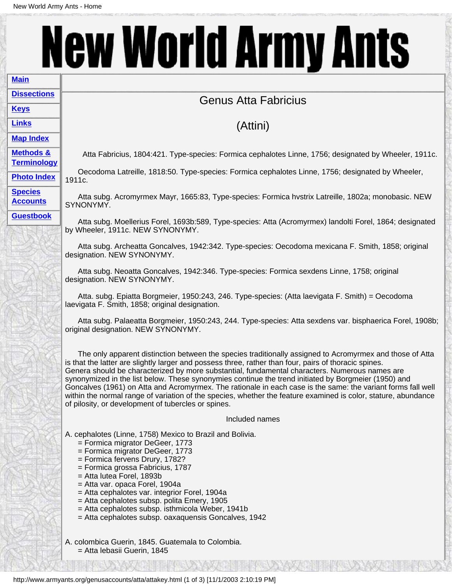## **New World Army Ants [Main](http://www.armyants.org/index.html)**

## Genus Atta Fabricius

## (Attini)

**[Map Index](http://www.armyants.org/indexfiles/maps.html) [Methods &](http://www.armyants.org/indexfiles/terminology.html)**

**[Terminology](http://www.armyants.org/indexfiles/terminology.html) [Photo Index](http://www.armyants.org/indexfiles/photos.html)**

**[Dissections](http://www.armyants.org/indexfiles/dissections.html)**

**[Keys](http://www.armyants.org/indexfiles/keys.html) [Links](http://www.armyants.org/indexfiles/links.html)**

Atta Fabricius, 1804:421. Type-species: Formica cephalotes Linne, 1756; designated by Wheeler, 1911c.

 Oecodoma Latreille, 1818:50. Type-species: Formica cephalotes Linne, 1756; designated by Wheeler, 1911c.

**[Species](http://www.armyants.org/indexfiles/speciesindex.html) [Accounts](http://www.armyants.org/indexfiles/speciesindex.html)** 

**[Guestbook](http://www.armyants.org/guestbook/guestbook.html)**

 Atta subg. Acromyrmex Mayr, 1665:83, Type-species: Formica hvstrix Latreille, 1802a; monobasic. NEW SYNONYMY.

 Atta subg. Moellerius Forel, 1693b:589, Type-species: Atta (Acromyrmex) landolti Forel, 1864; designated by Wheeler, 1911c. NEW SYNONYMY.

 Atta subg. Archeatta Goncalves, 1942:342. Type-species: Oecodoma mexicana F. Smith, 1858; original designation. NEW SYNONYMY.

 Atta subg. Neoatta Goncalves, 1942:346. Type-species: Formica sexdens Linne, 1758; original designation. NEW SYNONYMY.

 Atta. subg. Epiatta Borgmeier, 1950:243, 246. Type-species: (Atta laevigata F. Smith) = Oecodoma laevigata F. Smith, 1858; original designation.

 Atta subg. Palaeatta Borgmeier, 1950:243, 244. Type-species: Atta sexdens var. bisphaerica Forel, 1908b; original designation. NEW SYNONYMY.

 The only apparent distinction between the species traditionally assigned to Acromyrmex and those of Atta is that the latter are slightly larger and possess three, rather than four, pairs of thoracic spines. Genera should be characterized by more substantial, fundamental characters. Numerous names are synonymized in the list below. These synonymies continue the trend initiated by Borgmeier (1950) and Goncalves (1961) on Atta and Acromyrmex. The rationale in each case is the same: the variant forms fall well within the normal range of variation of the species, whether the feature examined is color, stature, abundance of pilosity, or development of tubercles or spines.

Included names

A. cephalotes (Linne, 1758) Mexico to Brazil and Bolivia.

- = Formica migrator DeGeer, 1773
- = Formica migrator DeGeer, 1773
- = Formica fervens Drury, 1782?
- = Formica grossa Fabricius, 1787
- = Atta lutea Forel, 1893b
- = Atta var. opaca Forel, 1904a
- = Atta cephalotes var. integrior Forel, 1904a
- = Atta cephalotes subsp. polita Emery, 1905
- = Atta cephalotes subsp. isthmicola Weber, 1941b
- = Atta cephalotes subsp. oaxaquensis Goncalves, 1942

A. colombica Guerin, 1845. Guatemala to Colombia. = Atta lebasii Guerin, 1845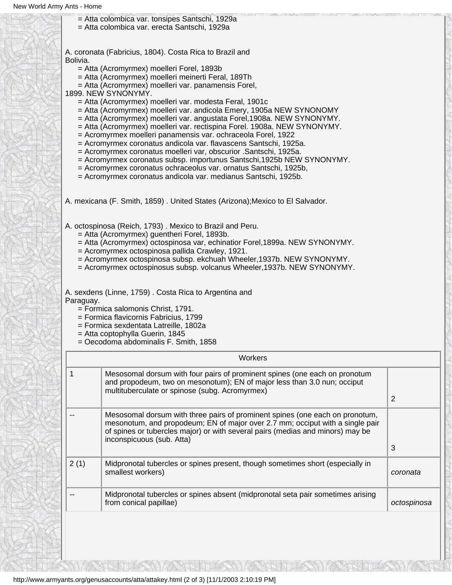|          | = Atta colombica var. tonsipes Santschi, 1929a<br>= Atta colombica var. erecta Santschi, 1929a                                                                                                                                                                                                                                                                                                                                                                                                                                                                                                                                                                                                                                                                                                                                                                                                                                                            |                |
|----------|-----------------------------------------------------------------------------------------------------------------------------------------------------------------------------------------------------------------------------------------------------------------------------------------------------------------------------------------------------------------------------------------------------------------------------------------------------------------------------------------------------------------------------------------------------------------------------------------------------------------------------------------------------------------------------------------------------------------------------------------------------------------------------------------------------------------------------------------------------------------------------------------------------------------------------------------------------------|----------------|
| Bolivia. | A. coronata (Fabricius, 1804). Costa Rica to Brazil and<br>= Atta (Acromyrmex) moelleri Forel, 1893b<br>= Atta (Acromyrmex) moelleri meinerti Feral, 189Th<br>= Atta (Acromyrmex) moelleri var. panamensis Forel,<br>1899. NEW SYNONYMY.<br>= Atta (Acromyrmex) moelleri var. modesta Feral, 1901c<br>= Atta (Acromyrmex) moelleri var. andicola Emery, 1905a NEW SYNONOMY<br>= Atta (Acromyrmex) moelleri var. angustata Forel, 1908a. NEW SYNONYMY.<br>= Atta (Acromyrmex) moelleri var. rectispina Forel. 1908a. NEW SYNONYMY.<br>= Acromyrmex moelleri panamensis var. ochraceola Forel, 1922<br>= Acromyrmex coronatus andicola var. flavascens Santschi, 1925a.<br>= Acromyrmex coronatus moelleri var, obscurior .Santschi, 1925a.<br>= Acromyrmex coronatus subsp. importunus Santschi, 1925b NEW SYNONYMY.<br>= Acromyrmex coronatus ochraceolus var. ornatus Santschi, 1925b,<br>= Acromyrmex coronatus andicola var. medianus Santschi, 1925b. |                |
|          | A. mexicana (F. Smith, 1859). United States (Arizona); Mexico to El Salvador.                                                                                                                                                                                                                                                                                                                                                                                                                                                                                                                                                                                                                                                                                                                                                                                                                                                                             |                |
|          | A. octospinosa (Reich, 1793). Mexico to Brazil and Peru.<br>= Atta (Acromyrmex) guentheri Forel, 1893b.<br>= Atta (Acromyrmex) octospinosa var, echinatior Forel, 1899a. NEW SYNONYMY.<br>= Acromyrmex octospinosa pallida Crawley, 1921.                                                                                                                                                                                                                                                                                                                                                                                                                                                                                                                                                                                                                                                                                                                 |                |
|          | = Acromyrmex octospinosa subsp. ekchuah Wheeler, 1937b. NEW SYNONYMY.<br>= Acromyrmex octospinosus subsp. volcanus Wheeler, 1937b. NEW SYNONYMY.                                                                                                                                                                                                                                                                                                                                                                                                                                                                                                                                                                                                                                                                                                                                                                                                          |                |
|          | A. sexdens (Linne, 1759). Costa Rica to Argentina and<br>Paraguay.<br>= Formica salomonis Christ, 1791.<br>= Formica flavicornis Fabricius, 1799<br>= Formica sexdentata Latreille, 1802a<br>= Atta coptophylla Guerin, 1845<br>= Oecodoma abdominalis F. Smith, 1858                                                                                                                                                                                                                                                                                                                                                                                                                                                                                                                                                                                                                                                                                     |                |
|          | Workers                                                                                                                                                                                                                                                                                                                                                                                                                                                                                                                                                                                                                                                                                                                                                                                                                                                                                                                                                   |                |
| 1        | Mesosomal dorsum with four pairs of prominent spines (one each on pronotum<br>and propodeum, two on mesonotum); EN of major less than 3.0 nun; occiput<br>multituberculate or spinose (subg. Acromyrmex)                                                                                                                                                                                                                                                                                                                                                                                                                                                                                                                                                                                                                                                                                                                                                  | $\overline{2}$ |
|          | Mesosomal dorsum with three pairs of prominent spines (one each on pronotum,<br>mesonotum, and propodeum; EN of major over 2.7 mm; occiput with a single pair<br>of spines or tubercles major) or with several pairs (medias and minors) may be<br>inconspicuous (sub. Atta)                                                                                                                                                                                                                                                                                                                                                                                                                                                                                                                                                                                                                                                                              | 3              |
| 2(1)     | Midpronotal tubercles or spines present, though sometimes short (especially in<br>smallest workers)                                                                                                                                                                                                                                                                                                                                                                                                                                                                                                                                                                                                                                                                                                                                                                                                                                                       | coronata       |

I